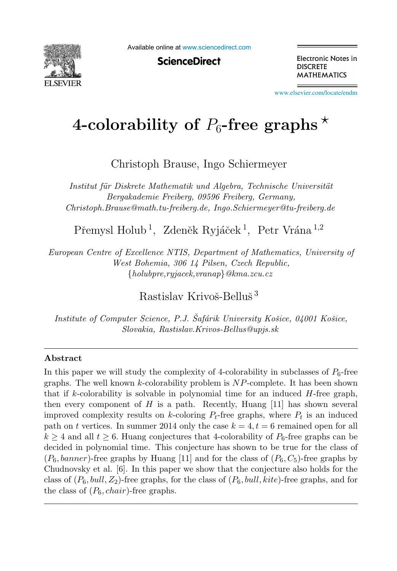

Available online at [www.sciencedirect.com](http://www.sciencedirect.com)

**ScienceDirect** 

Electronic Notes in **DISCRETE MATHEMATICS** 

[www.elsevier.com/locate/endm](http://www.elsevier.com/locate/endm)

# 4-colorability of  $P_6$ -free graphs  $\star$

Christoph Brause, Ingo Schiermeyer

*Institut für Diskrete Mathematik und Algebra, Technische Universität Bergakademie Freiberg, 09596 Freiberg, Germany, Christoph.Brause@math.tu-freiberg.de, Ingo.Schiermeyer@tu-freiberg.de*

Přemysl Holub<sup>1</sup>, Zdeněk Ryjáček<sup>1</sup>, Petr Vrána<sup>1,2</sup>

*European Centre of Excellence NTIS, Department of Mathematics, University of West Bohemia, 306 14 Pilsen, Czech Republic,* {*holubpre,ryjacek,vranap*}*@kma.zcu.cz*

Rastislav Krivoš-Belluš<sup>3</sup>

*Institute of Computer Science, P.J. Šafárik University Košice, 04001 Košice, Slovakia, Rastislav.Krivos-Bellus@upjs.sk*

#### **Abstract**

In this paper we will study the complexity of 4-colorability in subclasses of  $P_6$ -free graphs. The well known  $k$ -colorability problem is  $NP$ -complete. It has been shown that if k-colorability is solvable in polynomial time for an induced  $H$ -free graph, then every component of  $H$  is a path. Recently, Huang [11] has shown several improved complexity results on k-coloring  $P_t$ -free graphs, where  $P_t$  is an induced path on t vertices. In summer 2014 only the case  $k = 4, t = 6$  remained open for all  $k \geq 4$  and all  $t \geq 6$ . Huang conjectures that 4-colorability of  $P_6$ -free graphs can be decided in polynomial time. This conjecture has shown to be true for the class of  $(P_6, banner)$ -free graphs by Huang [11] and for the class of  $(P_6, C_5)$ -free graphs by Chudnovsky et al. [6]. In this paper we show that the conjecture also holds for the class of  $(P_6, \text{bulk}, Z_2)$ -free graphs, for the class of  $(P_6, \text{bulk}, kite)$ -free graphs, and for the class of  $(P_6, chair)$ -free graphs.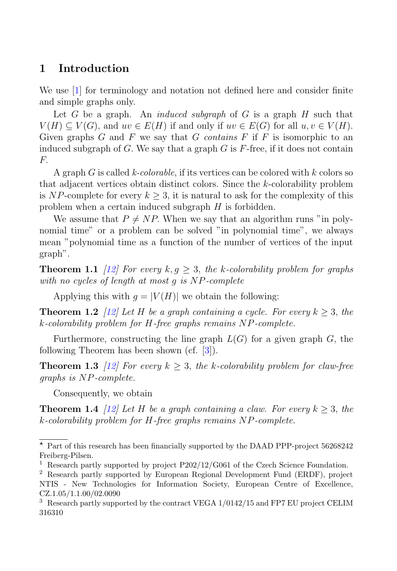# **1 Introduction**

We use [1] for terminology and notation not defined here and consider finite and simple graphs only.

Let  $G$  be a graph. An *induced subgraph* of  $G$  is a graph  $H$  such that  $V(H) \subset V(G)$ , and  $uv \in E(H)$  if and only if  $uv \in E(G)$  for all  $u, v \in V(H)$ . Given graphs  $G$  and  $F$  we say that  $G$  contains  $F$  if  $F$  is isomorphic to an induced subgraph of  $G$ . We say that a graph  $G$  is  $F$ -free, if it does not contain  $F$ .

A graph G is called k-colorable, if its vertices can be colored with k colors so that adjacent vertices obtain distinct colors. Since the k-colorability problem is NP-complete for every  $k > 3$ , it is natural to ask for the complexity of this problem when a certain induced subgraph H is forbidden.

We assume that  $P \neq NP$ . When we say that an algorithm runs "in polynomial time" or a problem can be solved "in polynomial time", we always mean "polynomial time as a function of the number of vertices of the input graph".

**Theorem 1.1** [12] For every  $k, q \geq 3$ , the k-colorability problem for graphs with no cycles of length at most g is NP-complete

Applying this with  $g = |V(H)|$  we obtain the following:

**Theorem 1.2** [12] Let H be a graph containing a cycle. For every  $k > 3$ , the k-colorability problem for H-free graphs remains NP-complete.

Furthermore, constructing the line graph  $L(G)$  for a given graph G, the following Theorem has been shown (cf. [3]).

**Theorem 1.3** [12] For every  $k > 3$ , the k-colorability problem for claw-free graphs is NP-complete.

Consequently, we obtain

**Theorem 1.4** [12] Let H be a graph containing a claw. For every  $k \geq 3$ , the k-colorability problem for H-free graphs remains NP-complete.

 $\star$  Part of this research has been financially supported by the DAAD PPP-project 56268242 Freiberg-Pilsen.

<sup>&</sup>lt;sup>1</sup> Research partly supported by project P202/12/G061 of the Czech Science Foundation.

<sup>2</sup> Research partly supported by European Regional Development Fund (ERDF), project NTIS - New Technologies for Information Society, European Centre of Excellence, CZ.1.05/1.1.00/02.0090

<sup>&</sup>lt;sup>3</sup> Research partly supported by the contract VEGA  $1/0142/15$  and FP7 EU project CELIM 316310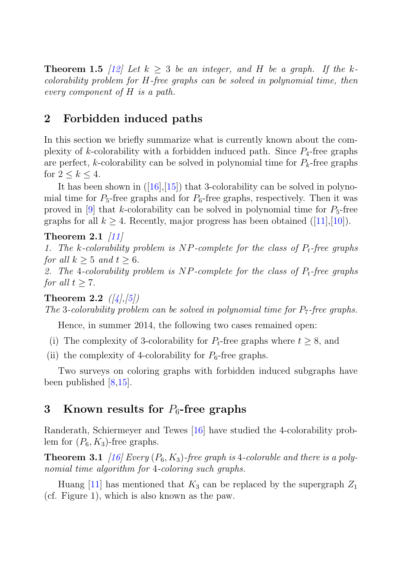**Theorem 1.5** [12] Let  $k > 3$  be an integer, and H be a graph. If the kcolorability problem for H-free graphs can be solved in polynomial time, then every component of H is a path.

# **2 Forbidden induced paths**

In this section we briefly summarize what is currently known about the complexity of k-colorability with a forbidden induced path. Since  $P_4$ -free graphs are perfect, k-colorability can be solved in polynomial time for  $P_k$ -free graphs for  $2 \leq k \leq 4$ .

It has been shown in  $([16],[15])$  that 3-colorability can be solved in polynomial time for  $P_5$ -free graphs and for  $P_6$ -free graphs, respectively. Then it was proved in  $[9]$  that k-colorability can be solved in polynomial time for  $P_5$ -free graphs for all  $k \geq 4$ . Recently, major progress has been obtained ([11],[10]).

#### **Theorem 2.1** [11]

1. The k-colorability problem is NP-complete for the class of  $P_t$ -free graphs for all  $k \geq 5$  and  $t \geq 6$ .

2. The 4-colorability problem is NP-complete for the class of  $P_t$ -free graphs for all  $t > 7$ .

**Theorem 2.2**  $(|4|,|5|)$ The 3-colorability problem can be solved in polynomial time for  $P_7$ -free graphs.

Hence, in summer 2014, the following two cases remained open:

- (i) The complexity of 3-colorability for  $P_t$ -free graphs where  $t \geq 8$ , and
- (ii) the complexity of 4-colorability for  $P_6$ -free graphs.

Two surveys on coloring graphs with forbidden induced subgraphs have been published [8,15].

# **3 Known results for** P<sup>6</sup>**-free graphs**

Randerath, Schiermeyer and Tewes [16] have studied the 4-colorability problem for  $(P_6, K_3)$ -free graphs.

**Theorem 3.1** [16] Every  $(P_6, K_3)$ -free graph is 4-colorable and there is a polynomial time algorithm for 4-coloring such graphs.

Huang [11] has mentioned that  $K_3$  can be replaced by the supergraph  $Z_1$ (cf. Figure 1), which is also known as the paw.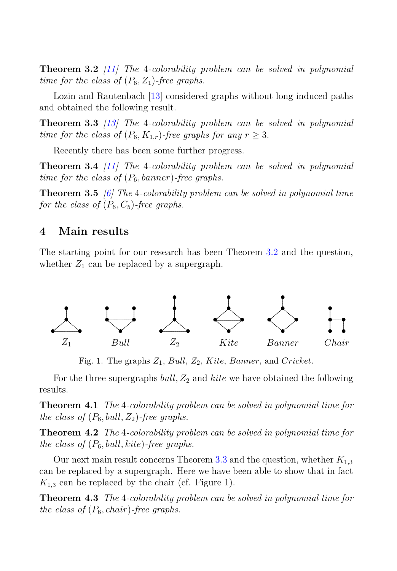**Theorem 3.2** [11] The 4-colorability problem can be solved in polynomial time for the class of  $(P_6, Z_1)$ -free graphs.

Lozin and Rautenbach [13] considered graphs without long induced paths and obtained the following result.

**Theorem 3.3** [13] The 4-colorability problem can be solved in polynomial time for the class of  $(P_6, K_{1,r})$ -free graphs for any  $r \geq 3$ .

Recently there has been some further progress.

**Theorem 3.4** [11] The 4-colorability problem can be solved in polynomial time for the class of  $(P_6, banner)$ -free graphs.

**Theorem 3.5** [6] The 4-colorability problem can be solved in polynomial time for the class of  $(P_6, C_5)$ -free graphs.

### **4 Main results**

The starting point for our research has been Theorem 3.2 and the question, whether  $Z_1$  can be replaced by a supergraph.



Fig. 1. The graphs  $Z_1$ , Bull,  $Z_2$ , Kite, Banner, and Cricket.

For the three supergraphs bull,  $Z_2$  and kite we have obtained the following results.

**Theorem 4.1** The 4-colorability problem can be solved in polynomial time for the class of  $(P_6, \text{bull}, Z_2)$ -free graphs.

**Theorem 4.2** The 4-colorability problem can be solved in polynomial time for the class of  $(P_6, \text{bull}, \text{kite})$ -free graphs.

Our next main result concerns Theorem 3.3 and the question, whether  $K_{1,3}$ can be replaced by a supergraph. Here we have been able to show that in fact  $K_{1,3}$  can be replaced by the chair (cf. Figure 1).

**Theorem 4.3** The 4-colorability problem can be solved in polynomial time for the class of  $(P_6, chair)$ -free graphs.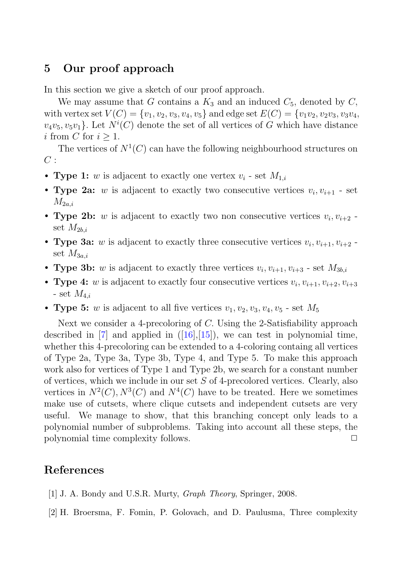## **5 Our proof approach**

In this section we give a sketch of our proof approach.

We may assume that G contains a  $K_3$  and an induced  $C_5$ , denoted by  $C$ , with vertex set  $V(C) = \{v_1, v_2, v_3, v_4, v_5\}$  and edge set  $E(C) = \{v_1v_2, v_2v_3, v_3v_4, v_5v_6\}$  $v_4v_5, v_5v_1$ . Let  $N^i(C)$  denote the set of all vertices of G which have distance i from C for  $i > 1$ i from C for  $i > 1$ .

The vertices of  $N^1(C)$  can have the following neighbourhood structures on  $C:$ 

- **Type 1:** w is adjacent to exactly one vertex  $v_i$  set  $M_{1,i}$
- **Type 2a:** w is adjacent to exactly two consecutive vertices  $v_i, v_{i+1}$  set  $M_{2a,i}$
- **Type 2b:** w is adjacent to exactly two non consecutive vertices  $v_i, v_{i+2}$ . set  $M_{2h,i}$
- **Type 3a:** w is adjacent to exactly three consecutive vertices  $v_i$ ,  $v_{i+1}$ ,  $v_{i+2}$  set  $M_{3a,i}$
- **Type 3b:** w is adjacent to exactly three vertices  $v_i$ ,  $v_{i+1}$ ,  $v_{i+3}$  set  $M_{3b,i}$
- **Type 4:** w is adjacent to exactly four consecutive vertices  $v_i$ ,  $v_{i+1}$ ,  $v_{i+2}$ ,  $v_{i+3}$ - set  $M_{4,i}$
- **Type 5:** w is adjacent to all five vertices  $v_1, v_2, v_3, v_4, v_5$  set  $M_5$

Next we consider a 4-precoloring of C. Using the 2-Satisfiability approach described in  $[7]$  and applied in  $([16],[15])$ , we can test in polynomial time, whether this 4-precoloring can be extended to a 4-coloring containg all vertices of Type 2a, Type 3a, Type 3b, Type 4, and Type 5. To make this approach work also for vertices of Type 1 and Type 2b, we search for a constant number of vertices, which we include in our set  $S$  of 4-precolored vertices. Clearly, also vertices in  $N^2(C)$ ,  $N^3(C)$  and  $N^4(C)$  have to be treated. Here we sometimes make use of cutsets, where clique cutsets and independent cutsets are very useful. We manage to show, that this branching concept only leads to a polynomial number of subproblems. Taking into account all these steps, the polynomial time complexity follows.  $\Box$ 

# **References**

- [1] J. A. Bondy and U.S.R. Murty, *Graph Theory*, Springer, 2008.
- [2] H. Broersma, F. Fomin, P. Golovach, and D. Paulusma, Three complexity